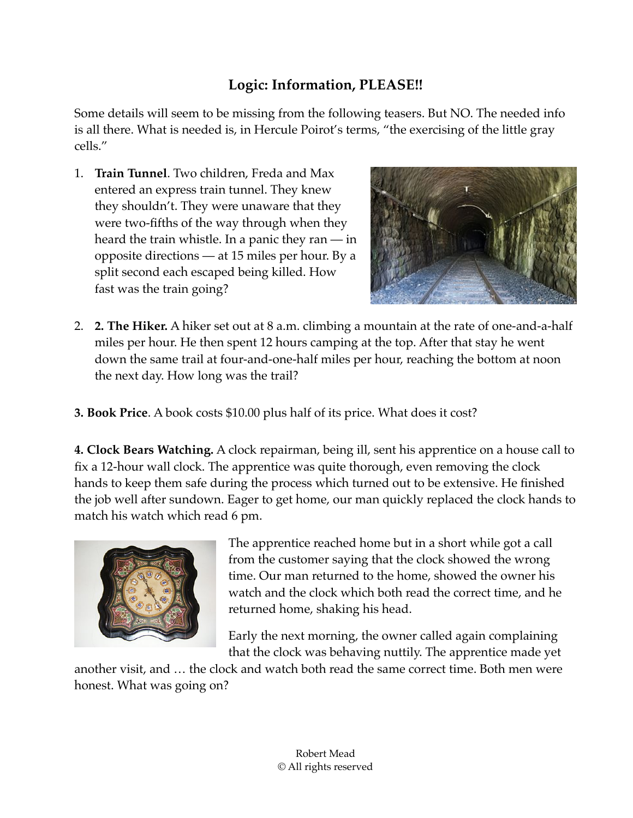## **Logic: Information, PLEASE!!**

Some details will seem to be missing from the following teasers. But NO. The needed info is all there. What is needed is, in Hercule Poirot's terms, "the exercising of the little gray cells."

1. **Train Tunnel**. Two children, Freda and Max entered an express train tunnel. They knew they shouldn't. They were unaware that they were two-fifths of the way through when they heard the train whistle. In a panic they ran — in opposite directions — at 15 miles per hour. By a split second each escaped being killed. How fast was the train going?



- 2. **2. The Hiker.** A hiker set out at 8 a.m. climbing a mountain at the rate of one-and-a-half miles per hour. He then spent 12 hours camping at the top. After that stay he went down the same trail at four-and-one-half miles per hour, reaching the bottom at noon the next day. How long was the trail?
- **3. Book Price**. A book costs \$10.00 plus half of its price. What does it cost?

**4. Clock Bears Watching.** A clock repairman, being ill, sent his apprentice on a house call to fix a 12-hour wall clock. The apprentice was quite thorough, even removing the clock hands to keep them safe during the process which turned out to be extensive. He finished the job well after sundown. Eager to get home, our man quickly replaced the clock hands to match his watch which read 6 pm.



The apprentice reached home but in a short while got a call from the customer saying that the clock showed the wrong time. Our man returned to the home, showed the owner his watch and the clock which both read the correct time, and he returned home, shaking his head.

Early the next morning, the owner called again complaining that the clock was behaving nuttily. The apprentice made yet

another visit, and … the clock and watch both read the same correct time. Both men were honest. What was going on?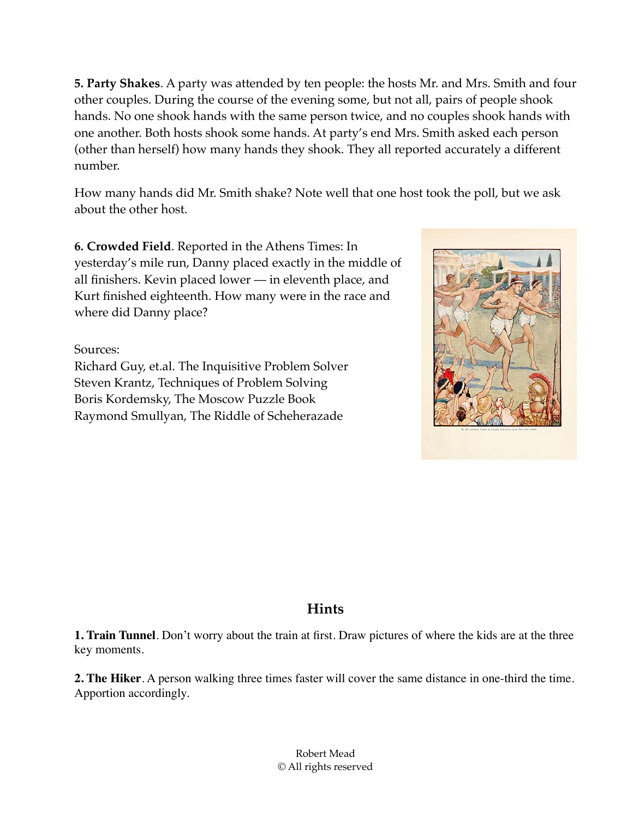**5. Party Shakes**. A party was attended by ten people: the hosts Mr. and Mrs. Smith and four other couples. During the course of the evening some, but not all, pairs of people shook hands. No one shook hands with the same person twice, and no couples shook hands with one another. Both hosts shook some hands. At party's end Mrs. Smith asked each person (other than herself) how many hands they shook. They all reported accurately a different number.

How many hands did Mr. Smith shake? Note well that one host took the poll, but we ask about the other host.

**6. Crowded Field**. Reported in the Athens Times: In yesterday's mile run, Danny placed exactly in the middle of all finishers. Kevin placed lower — in eleventh place, and Kurt finished eighteenth. How many were in the race and where did Danny place?

Sources:

Richard Guy, et.al. The Inquisitive Problem Solver Steven Krantz, Techniques of Problem Solving Boris Kordemsky, The Moscow Puzzle Book Raymond Smullyan, The Riddle of Scheherazade



## **Hints**

**1. Train Tunnel**. Don't worry about the train at first. Draw pictures of where the kids are at the three key moments.

**2. The Hiker**. A person walking three times faster will cover the same distance in one-third the time. Apportion accordingly.